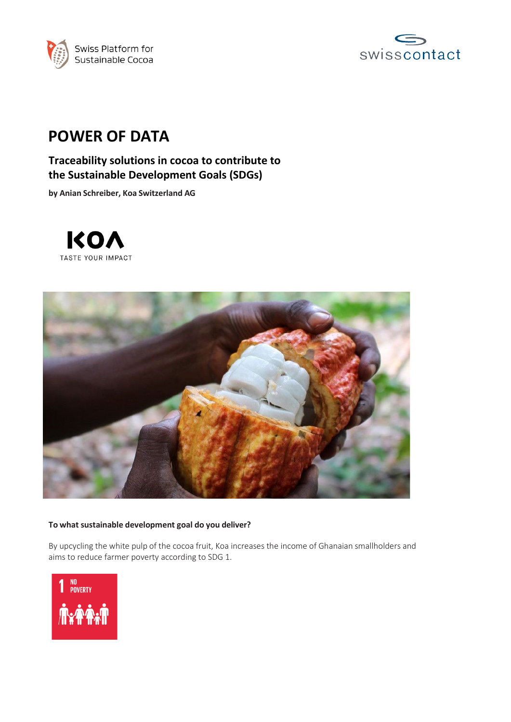



# **POWER OF DATA**

## **Traceability solutions in cocoa to contribute to the Sustainable Development Goals (SDGs)**

**by Anian Schreiber, Koa Switzerland AG**





### **To what sustainable development goal do you deliver?**

By upcycling the white pulp of the cocoa fruit, Koa increases the income of Ghanaian smallholders and aims to reduce farmer poverty according to SDG 1.